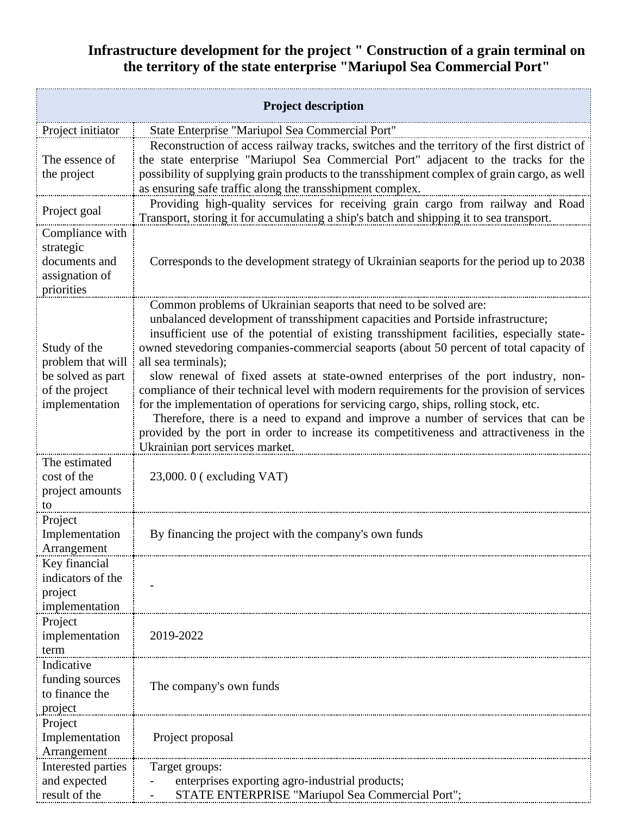## **Infrastructure development for the project " Construction of a grain terminal on the territory of the state enterprise "Mariupol Sea Commercial Port"**

| <b>Project description</b>                                                                 |                                                                                                                                                                                                                                                                                                                                                                                                                                                                                                                                                                                                                                                                                                                                                                                                                                                                   |  |
|--------------------------------------------------------------------------------------------|-------------------------------------------------------------------------------------------------------------------------------------------------------------------------------------------------------------------------------------------------------------------------------------------------------------------------------------------------------------------------------------------------------------------------------------------------------------------------------------------------------------------------------------------------------------------------------------------------------------------------------------------------------------------------------------------------------------------------------------------------------------------------------------------------------------------------------------------------------------------|--|
| Project initiator                                                                          | State Enterprise "Mariupol Sea Commercial Port"                                                                                                                                                                                                                                                                                                                                                                                                                                                                                                                                                                                                                                                                                                                                                                                                                   |  |
| The essence of<br>the project                                                              | Reconstruction of access railway tracks, switches and the territory of the first district of<br>the state enterprise "Mariupol Sea Commercial Port" adjacent to the tracks for the<br>possibility of supplying grain products to the transshipment complex of grain cargo, as well<br>as ensuring safe traffic along the transshipment complex.                                                                                                                                                                                                                                                                                                                                                                                                                                                                                                                   |  |
| Project goal                                                                               | Providing high-quality services for receiving grain cargo from railway and Road<br>Transport, storing it for accumulating a ship's batch and shipping it to sea transport.                                                                                                                                                                                                                                                                                                                                                                                                                                                                                                                                                                                                                                                                                        |  |
| Compliance with<br>strategic<br>documents and<br>assignation of<br>priorities              | Corresponds to the development strategy of Ukrainian seaports for the period up to 2038                                                                                                                                                                                                                                                                                                                                                                                                                                                                                                                                                                                                                                                                                                                                                                           |  |
| Study of the<br>problem that will<br>be solved as part<br>of the project<br>implementation | Common problems of Ukrainian seaports that need to be solved are:<br>unbalanced development of transshipment capacities and Portside infrastructure;<br>insufficient use of the potential of existing transshipment facilities, especially state-<br>owned stevedoring companies-commercial seaports (about 50 percent of total capacity of<br>all sea terminals);<br>slow renewal of fixed assets at state-owned enterprises of the port industry, non-<br>compliance of their technical level with modern requirements for the provision of services<br>for the implementation of operations for servicing cargo, ships, rolling stock, etc.<br>Therefore, there is a need to expand and improve a number of services that can be<br>provided by the port in order to increase its competitiveness and attractiveness in the<br>Ukrainian port services market. |  |
| The estimated<br>cost of the<br>project amounts<br>to                                      | $23,000.0$ (excluding VAT)                                                                                                                                                                                                                                                                                                                                                                                                                                                                                                                                                                                                                                                                                                                                                                                                                                        |  |
| Project<br>Implementation<br>Arrangement                                                   | By financing the project with the company's own funds                                                                                                                                                                                                                                                                                                                                                                                                                                                                                                                                                                                                                                                                                                                                                                                                             |  |
| Key financial<br>indicators of the<br>project<br>implementation                            |                                                                                                                                                                                                                                                                                                                                                                                                                                                                                                                                                                                                                                                                                                                                                                                                                                                                   |  |
| Project<br>implementation<br>term                                                          | 2019-2022                                                                                                                                                                                                                                                                                                                                                                                                                                                                                                                                                                                                                                                                                                                                                                                                                                                         |  |
| Indicative<br>funding sources<br>to finance the<br>project                                 | The company's own funds                                                                                                                                                                                                                                                                                                                                                                                                                                                                                                                                                                                                                                                                                                                                                                                                                                           |  |
| Project<br>Implementation<br>Arrangement                                                   | Project proposal                                                                                                                                                                                                                                                                                                                                                                                                                                                                                                                                                                                                                                                                                                                                                                                                                                                  |  |
| Interested parties<br>and expected<br>result of the                                        | Target groups:<br>enterprises exporting agro-industrial products;<br>STATE ENTERPRISE "Mariupol Sea Commercial Port";                                                                                                                                                                                                                                                                                                                                                                                                                                                                                                                                                                                                                                                                                                                                             |  |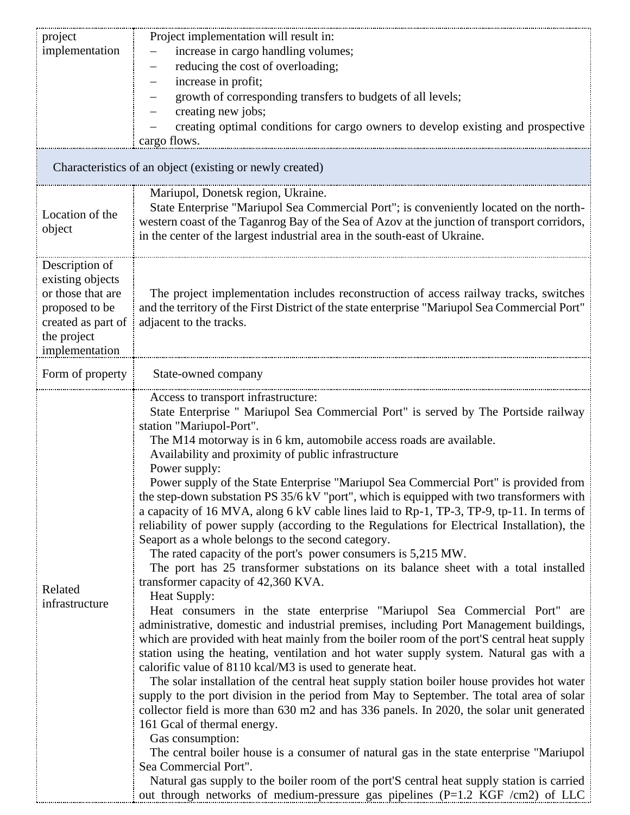| project                                                                                                                          | Project implementation will result in:                                                                                                                                                                                                                                                                                                                                                                                                                                                                                                                                                                                                                                                                                                                                                                                                                                                                                                                                                                                                                                                                                                                                                                                                                                                                                                                                                                                                                                                                                                                                                                                                                                                                                                                                                                                                                                                                                                                                                                                                |  |
|----------------------------------------------------------------------------------------------------------------------------------|---------------------------------------------------------------------------------------------------------------------------------------------------------------------------------------------------------------------------------------------------------------------------------------------------------------------------------------------------------------------------------------------------------------------------------------------------------------------------------------------------------------------------------------------------------------------------------------------------------------------------------------------------------------------------------------------------------------------------------------------------------------------------------------------------------------------------------------------------------------------------------------------------------------------------------------------------------------------------------------------------------------------------------------------------------------------------------------------------------------------------------------------------------------------------------------------------------------------------------------------------------------------------------------------------------------------------------------------------------------------------------------------------------------------------------------------------------------------------------------------------------------------------------------------------------------------------------------------------------------------------------------------------------------------------------------------------------------------------------------------------------------------------------------------------------------------------------------------------------------------------------------------------------------------------------------------------------------------------------------------------------------------------------------|--|
| implementation                                                                                                                   | increase in cargo handling volumes;                                                                                                                                                                                                                                                                                                                                                                                                                                                                                                                                                                                                                                                                                                                                                                                                                                                                                                                                                                                                                                                                                                                                                                                                                                                                                                                                                                                                                                                                                                                                                                                                                                                                                                                                                                                                                                                                                                                                                                                                   |  |
|                                                                                                                                  | reducing the cost of overloading;<br>$\qquad \qquad -$                                                                                                                                                                                                                                                                                                                                                                                                                                                                                                                                                                                                                                                                                                                                                                                                                                                                                                                                                                                                                                                                                                                                                                                                                                                                                                                                                                                                                                                                                                                                                                                                                                                                                                                                                                                                                                                                                                                                                                                |  |
|                                                                                                                                  | increase in profit;                                                                                                                                                                                                                                                                                                                                                                                                                                                                                                                                                                                                                                                                                                                                                                                                                                                                                                                                                                                                                                                                                                                                                                                                                                                                                                                                                                                                                                                                                                                                                                                                                                                                                                                                                                                                                                                                                                                                                                                                                   |  |
|                                                                                                                                  | growth of corresponding transfers to budgets of all levels;                                                                                                                                                                                                                                                                                                                                                                                                                                                                                                                                                                                                                                                                                                                                                                                                                                                                                                                                                                                                                                                                                                                                                                                                                                                                                                                                                                                                                                                                                                                                                                                                                                                                                                                                                                                                                                                                                                                                                                           |  |
|                                                                                                                                  | creating new jobs;                                                                                                                                                                                                                                                                                                                                                                                                                                                                                                                                                                                                                                                                                                                                                                                                                                                                                                                                                                                                                                                                                                                                                                                                                                                                                                                                                                                                                                                                                                                                                                                                                                                                                                                                                                                                                                                                                                                                                                                                                    |  |
|                                                                                                                                  | creating optimal conditions for cargo owners to develop existing and prospective                                                                                                                                                                                                                                                                                                                                                                                                                                                                                                                                                                                                                                                                                                                                                                                                                                                                                                                                                                                                                                                                                                                                                                                                                                                                                                                                                                                                                                                                                                                                                                                                                                                                                                                                                                                                                                                                                                                                                      |  |
|                                                                                                                                  | cargo flows.                                                                                                                                                                                                                                                                                                                                                                                                                                                                                                                                                                                                                                                                                                                                                                                                                                                                                                                                                                                                                                                                                                                                                                                                                                                                                                                                                                                                                                                                                                                                                                                                                                                                                                                                                                                                                                                                                                                                                                                                                          |  |
| Characteristics of an object (existing or newly created)                                                                         |                                                                                                                                                                                                                                                                                                                                                                                                                                                                                                                                                                                                                                                                                                                                                                                                                                                                                                                                                                                                                                                                                                                                                                                                                                                                                                                                                                                                                                                                                                                                                                                                                                                                                                                                                                                                                                                                                                                                                                                                                                       |  |
| Location of the<br>object                                                                                                        | Mariupol, Donetsk region, Ukraine.<br>State Enterprise "Mariupol Sea Commercial Port"; is conveniently located on the north-<br>western coast of the Taganrog Bay of the Sea of Azov at the junction of transport corridors,<br>in the center of the largest industrial area in the south-east of Ukraine.                                                                                                                                                                                                                                                                                                                                                                                                                                                                                                                                                                                                                                                                                                                                                                                                                                                                                                                                                                                                                                                                                                                                                                                                                                                                                                                                                                                                                                                                                                                                                                                                                                                                                                                            |  |
| Description of<br>existing objects<br>or those that are<br>proposed to be<br>created as part of<br>the project<br>implementation | The project implementation includes reconstruction of access railway tracks, switches<br>and the territory of the First District of the state enterprise "Mariupol Sea Commercial Port"<br>adjacent to the tracks.                                                                                                                                                                                                                                                                                                                                                                                                                                                                                                                                                                                                                                                                                                                                                                                                                                                                                                                                                                                                                                                                                                                                                                                                                                                                                                                                                                                                                                                                                                                                                                                                                                                                                                                                                                                                                    |  |
| Form of property                                                                                                                 | State-owned company                                                                                                                                                                                                                                                                                                                                                                                                                                                                                                                                                                                                                                                                                                                                                                                                                                                                                                                                                                                                                                                                                                                                                                                                                                                                                                                                                                                                                                                                                                                                                                                                                                                                                                                                                                                                                                                                                                                                                                                                                   |  |
| Related<br>infrastructure                                                                                                        | Access to transport infrastructure:<br>State Enterprise " Mariupol Sea Commercial Port" is served by The Portside railway<br>station "Mariupol-Port".<br>The M14 motorway is in 6 km, automobile access roads are available.<br>Availability and proximity of public infrastructure<br>Power supply:<br>Power supply of the State Enterprise "Mariupol Sea Commercial Port" is provided from<br>the step-down substation PS 35/6 kV "port", which is equipped with two transformers with<br>a capacity of 16 MVA, along 6 kV cable lines laid to Rp-1, TP-3, TP-9, tp-11. In terms of<br>reliability of power supply (according to the Regulations for Electrical Installation), the<br>Seaport as a whole belongs to the second category.<br>The rated capacity of the port's power consumers is 5,215 MW.<br>The port has 25 transformer substations on its balance sheet with a total installed<br>transformer capacity of 42,360 KVA.<br>Heat Supply:<br>Heat consumers in the state enterprise "Mariupol Sea Commercial Port" are<br>administrative, domestic and industrial premises, including Port Management buildings,<br>which are provided with heat mainly from the boiler room of the port'S central heat supply<br>station using the heating, ventilation and hot water supply system. Natural gas with a<br>calorific value of 8110 kcal/M3 is used to generate heat.<br>The solar installation of the central heat supply station boiler house provides hot water<br>supply to the port division in the period from May to September. The total area of solar<br>collector field is more than 630 m2 and has 336 panels. In 2020, the solar unit generated<br>161 Gcal of thermal energy.<br>Gas consumption:<br>The central boiler house is a consumer of natural gas in the state enterprise "Mariupol"<br>Sea Commercial Port".<br>Natural gas supply to the boiler room of the port'S central heat supply station is carried<br>out through networks of medium-pressure gas pipelines ( $P=1.2$ KGF /cm2) of LLC |  |